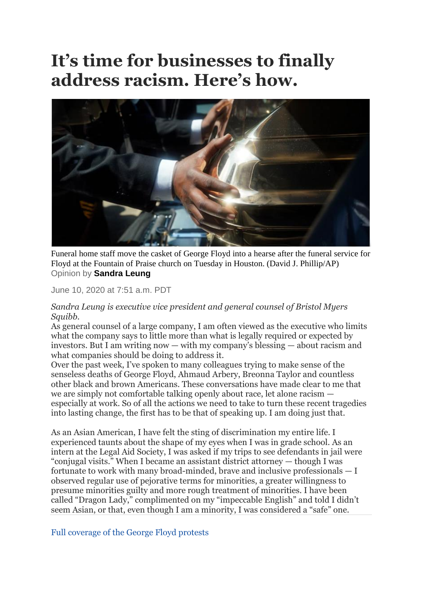## **It's time for businesses to finally address racism. Here's how.**



Funeral home staff move the casket of George Floyd into a hearse after the funeral service for Floyd at the Fountain of Praise church on Tuesday in Houston. (David J. Phillip/AP) Opinion by **Sandra Leung**

June 10, 2020 at 7:51 a.m. PDT

## *Sandra Leung is executive vice president and general counsel of Bristol Myers Squibb.*

As general counsel of a large company, I am often viewed as the executive who limits what the company says to little more than what is legally required or expected by investors. But I am writing now — with my company's blessing — about racism and what companies should be doing to address it.

Over the past week, I've spoken to many colleagues trying to make sense of the senseless deaths of George Floyd, Ahmaud Arbery, Breonna Taylor and countless other black and brown Americans. These conversations have made clear to me that we are simply not comfortable talking openly about race, let alone racism especially at work. So of all the actions we need to take to turn these recent tragedies into lasting change, the first has to be that of speaking up. I am doing just that.

As an Asian American, I have felt the sting of discrimination my entire life. I experienced taunts about the shape of my eyes when I was in grade school. As an intern at the Legal Aid Society, I was asked if my trips to see defendants in jail were "conjugal visits." When I became an assistant district attorney — though I was fortunate to work with many broad-minded, brave and inclusive professionals — I observed regular use of pejorative terms for minorities, a greater willingness to presume minorities guilty and more rough treatment of minorities. I have been called "Dragon Lady," complimented on my "impeccable English" and told I didn't seem Asian, or that, even though I am a minority, I was considered a "safe" one.

[Full coverage of the George Floyd protests](https://www.washingtonpost.com/george-floyd-protests/?itid=lk_interstitial_manual_9)